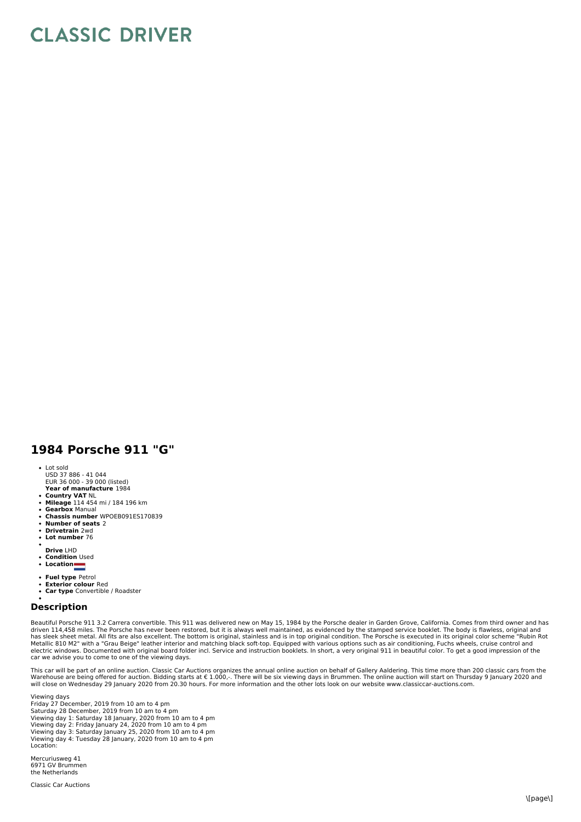## **CLASSIC DRIVER**

## **1984 Porsche 911 "G"**

- 
- Lot sold USD 37 886 41 044 EUR 36 000 39 000 (listed)
- **Year of manufacture** 1984
- **Country VAT** NL  $\bullet$
- **Mileage** 114 454 mi / 184 196 km **Gearbox** Manual
- **Chassis number** WPOEB091ES170839  $\bullet$
- **Number of seats** 2
- **Drivetrain** 2wd  $\bullet$
- **Lot number** 76
- 
- **Drive** LHD **Condition** Used
- Location  $\bullet$
- 
- **Fuel type** Petrol **Exterior colour** Red
- $\bullet$ **Car type** Convertible / Roadster

## **Description**

Beautiful Porsche 911 3.2 Carrera convertible. This 911 was delivered new on May 15, 1984 by the Porsche dealer in Garden Grove, California. Comes from third owner and has driven 114,458 miles. The Porsche has never been restored, but it is always well maintained, as evidenced by the stamped service booklet. The body is flawless, original and<br>Mes sleek sheet metal. All fits are also excellen

This car will be part of an online auction. Classic Car Auctions organizes the annual online auction on behalf of Gallery Aaldering. This time more than 200 classic cars from the<br>Warehouse are being offered for auction. B will close on Wednesday 29 January 2020 from 20.30 hours. For more information and the other lots look on our website www.classiccar-auctions.com.

Viewing days Friday 27 December, 2019 from 10 am to 4 pm<br>Saturday 28 December, 2019 from 10 am to 4 pm<br>Viewing day 1: Saturday 18 January, 2020 from 10 am to 4 pm<br>Viewing day 2: Friday January 24, 2020 from 10 am to 4 pm<br>Viewing day 3: Location:

Mercuriusweg 41 6971 GV Brummen the Netherlands

Classic Car Auctions